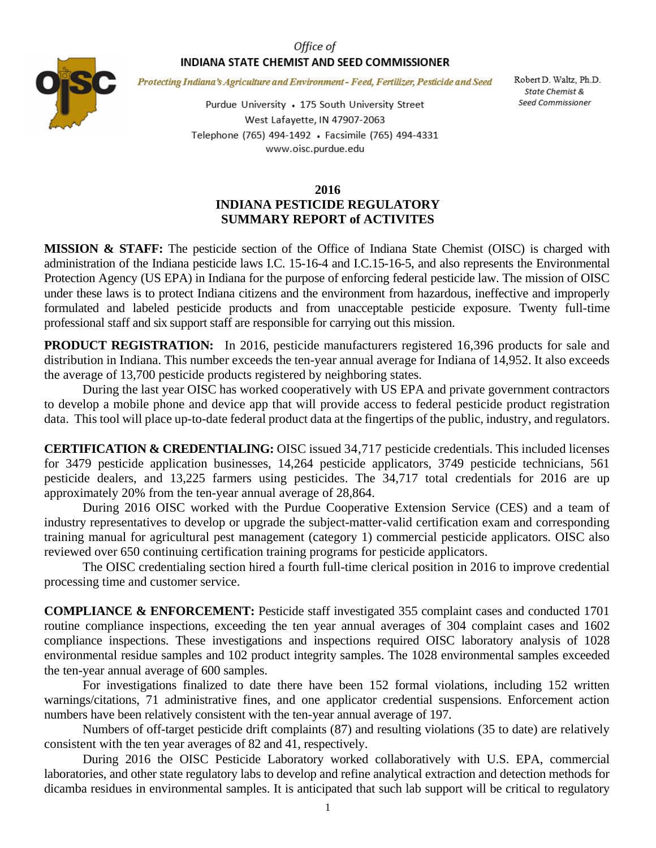## Office of INDIANA STATE CHEMIST AND SEED COMMISSIONER



Protecting Indiana's Agriculture and Environment - Feed, Fertilizer, Pesticide and Seed

Purdue University • 175 South University Street West Lafayette, IN 47907-2063 Telephone (765) 494-1492 · Facsimile (765) 494-4331 www.oisc.purdue.edu

## **2016 INDIANA PESTICIDE REGULATORY SUMMARY REPORT of ACTIVITES**

**MISSION & STAFF:** The pesticide section of the Office of Indiana State Chemist (OISC) is charged with administration of the Indiana pesticide laws I.C. 15-16-4 and I.C.15-16-5, and also represents the Environmental Protection Agency (US EPA) in Indiana for the purpose of enforcing federal pesticide law. The mission of OISC under these laws is to protect Indiana citizens and the environment from hazardous, ineffective and improperly formulated and labeled pesticide products and from unacceptable pesticide exposure. Twenty full-time professional staff and six support staff are responsible for carrying out this mission.

**PRODUCT REGISTRATION:** In 2016, pesticide manufacturers registered 16,396 products for sale and distribution in Indiana. This number exceeds the ten-year annual average for Indiana of 14,952. It also exceeds the average of 13,700 pesticide products registered by neighboring states.

During the last year OISC has worked cooperatively with US EPA and private government contractors to develop a mobile phone and device app that will provide access to federal pesticide product registration data. This tool will place up-to-date federal product data at the fingertips of the public, industry, and regulators.

**CERTIFICATION & CREDENTIALING:** OISC issued 34,717 pesticide credentials. This included licenses for 3479 pesticide application businesses, 14,264 pesticide applicators, 3749 pesticide technicians, 561 pesticide dealers, and 13,225 farmers using pesticides. The 34,717 total credentials for 2016 are up approximately 20% from the ten-year annual average of 28,864.

During 2016 OISC worked with the Purdue Cooperative Extension Service (CES) and a team of industry representatives to develop or upgrade the subject-matter-valid certification exam and corresponding training manual for agricultural pest management (category 1) commercial pesticide applicators. OISC also reviewed over 650 continuing certification training programs for pesticide applicators.

The OISC credentialing section hired a fourth full-time clerical position in 2016 to improve credential processing time and customer service.

**COMPLIANCE & ENFORCEMENT:** Pesticide staff investigated 355 complaint cases and conducted 1701 routine compliance inspections, exceeding the ten year annual averages of 304 complaint cases and 1602 compliance inspections. These investigations and inspections required OISC laboratory analysis of 1028 environmental residue samples and 102 product integrity samples. The 1028 environmental samples exceeded the ten-year annual average of 600 samples.

For investigations finalized to date there have been 152 formal violations, including 152 written warnings/citations, 71 administrative fines, and one applicator credential suspensions. Enforcement action numbers have been relatively consistent with the ten-year annual average of 197.

Numbers of off-target pesticide drift complaints (87) and resulting violations (35 to date) are relatively consistent with the ten year averages of 82 and 41, respectively.

During 2016 the OISC Pesticide Laboratory worked collaboratively with U.S. EPA, commercial laboratories, and other state regulatory labs to develop and refine analytical extraction and detection methods for dicamba residues in environmental samples. It is anticipated that such lab support will be critical to regulatory

Robert D. Waltz, Ph.D. State Chemist & Seed Commissioner